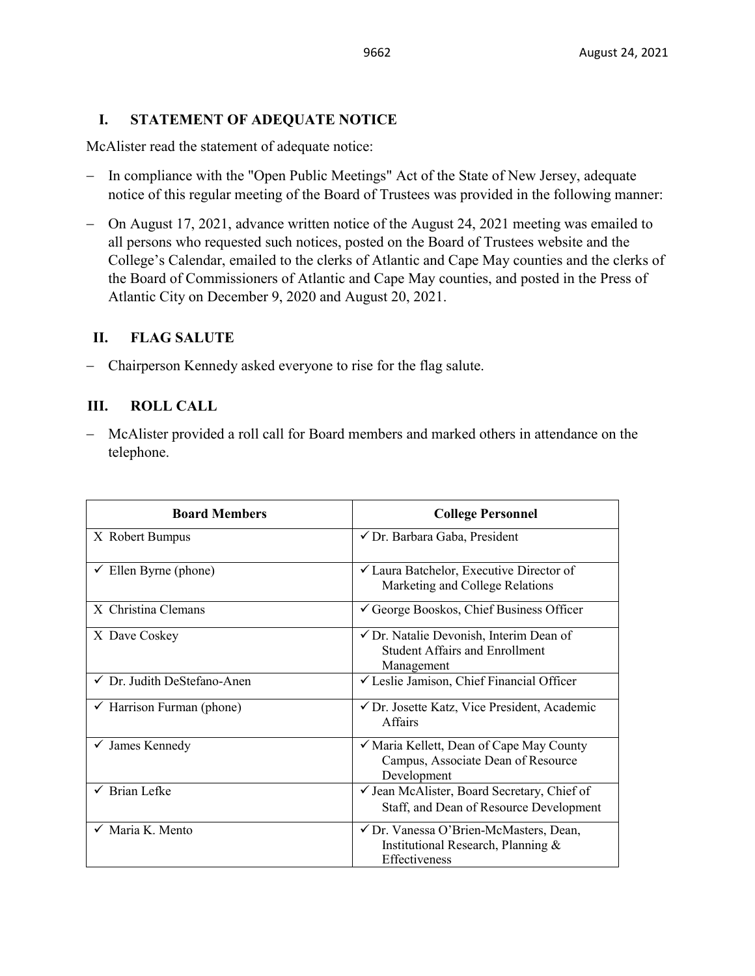# **I. STATEMENT OF ADEQUATE NOTICE**

McAlister read the statement of adequate notice:

- − In compliance with the "Open Public Meetings" Act of the State of New Jersey, adequate notice of this regular meeting of the Board of Trustees was provided in the following manner:
- − On August 17, 2021, advance written notice of the August 24, 2021 meeting was emailed to all persons who requested such notices, posted on the Board of Trustees website and the College's Calendar, emailed to the clerks of Atlantic and Cape May counties and the clerks of the Board of Commissioners of Atlantic and Cape May counties, and posted in the Press of Atlantic City on December 9, 2020 and August 20, 2021.

# **II. FLAG SALUTE**

− Chairperson Kennedy asked everyone to rise for the flag salute.

# **III. ROLL CALL**

− McAlister provided a roll call for Board members and marked others in attendance on the telephone.

| <b>Board Members</b>                   | <b>College Personnel</b>                                                                                  |  |
|----------------------------------------|-----------------------------------------------------------------------------------------------------------|--|
| X Robert Bumpus                        | √ Dr. Barbara Gaba, President                                                                             |  |
| Ellen Byrne (phone)                    | <del></del> <del>∠</del> Laura Batchelor, Executive Director of<br>Marketing and College Relations        |  |
| X Christina Clemans                    | $\checkmark$ George Booskos, Chief Business Officer                                                       |  |
| X Dave Coskey                          | $\checkmark$ Dr. Natalie Devonish, Interim Dean of<br><b>Student Affairs and Enrollment</b><br>Management |  |
| $\checkmark$ Dr. Judith DeStefano-Anen | $\checkmark$ Leslie Jamison, Chief Financial Officer                                                      |  |
| $\checkmark$ Harrison Furman (phone)   | √ Dr. Josette Katz, Vice President, Academic<br><b>Affairs</b>                                            |  |
| James Kennedy                          | √ Maria Kellett, Dean of Cape May County<br>Campus, Associate Dean of Resource<br>Development             |  |
| $\checkmark$ Brian Lefke               | ✓ Jean McAlister, Board Secretary, Chief of<br>Staff, and Dean of Resource Development                    |  |
| $\checkmark$ Maria K. Mento            | √ Dr. Vanessa O'Brien-McMasters, Dean,<br>Institutional Research, Planning &<br>Effectiveness             |  |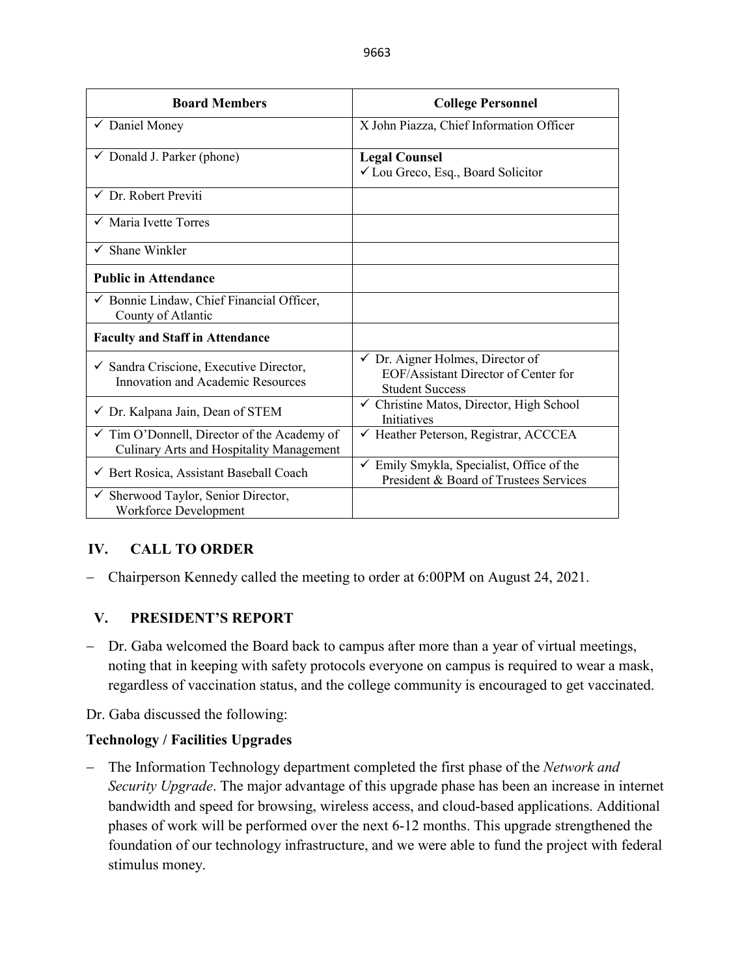| <b>Board Members</b>                                                                               | <b>College Personnel</b>                                                                                      |  |
|----------------------------------------------------------------------------------------------------|---------------------------------------------------------------------------------------------------------------|--|
| ✔ Daniel Money                                                                                     | X John Piazza, Chief Information Officer                                                                      |  |
| $\checkmark$ Donald J. Parker (phone)                                                              | <b>Legal Counsel</b><br>✓ Lou Greco, Esq., Board Solicitor                                                    |  |
| $\checkmark$ Dr. Robert Previti                                                                    |                                                                                                               |  |
| $\checkmark$ Maria Ivette Torres                                                                   |                                                                                                               |  |
| Shane Winkler<br>$\checkmark$                                                                      |                                                                                                               |  |
| <b>Public in Attendance</b>                                                                        |                                                                                                               |  |
| $\checkmark$ Bonnie Lindaw, Chief Financial Officer,<br>County of Atlantic                         |                                                                                                               |  |
| <b>Faculty and Staff in Attendance</b>                                                             |                                                                                                               |  |
| $\checkmark$ Sandra Criscione, Executive Director,<br>Innovation and Academic Resources            | $\checkmark$ Dr. Aigner Holmes, Director of<br>EOF/Assistant Director of Center for<br><b>Student Success</b> |  |
| $\checkmark$ Dr. Kalpana Jain, Dean of STEM                                                        | $\checkmark$ Christine Matos, Director, High School<br><b>Initiatives</b>                                     |  |
| $\checkmark$ Tim O'Donnell, Director of the Academy of<br>Culinary Arts and Hospitality Management | ← Heather Peterson, Registrar, ACCCEA                                                                         |  |
| ← Bert Rosica, Assistant Baseball Coach                                                            | $\checkmark$ Emily Smykla, Specialist, Office of the<br>President & Board of Trustees Services                |  |
| Sherwood Taylor, Senior Director,<br>✓<br>Workforce Development                                    |                                                                                                               |  |

# **IV. CALL TO ORDER**

− Chairperson Kennedy called the meeting to order at 6:00PM on August 24, 2021.

# **V. PRESIDENT'S REPORT**

− Dr. Gaba welcomed the Board back to campus after more than a year of virtual meetings, noting that in keeping with safety protocols everyone on campus is required to wear a mask, regardless of vaccination status, and the college community is encouraged to get vaccinated.

Dr. Gaba discussed the following:

# **Technology / Facilities Upgrades**

− The Information Technology department completed the first phase of the *Network and Security Upgrade*. The major advantage of this upgrade phase has been an increase in internet bandwidth and speed for browsing, wireless access, and cloud-based applications. Additional phases of work will be performed over the next 6-12 months. This upgrade strengthened the foundation of our technology infrastructure, and we were able to fund the project with federal stimulus money.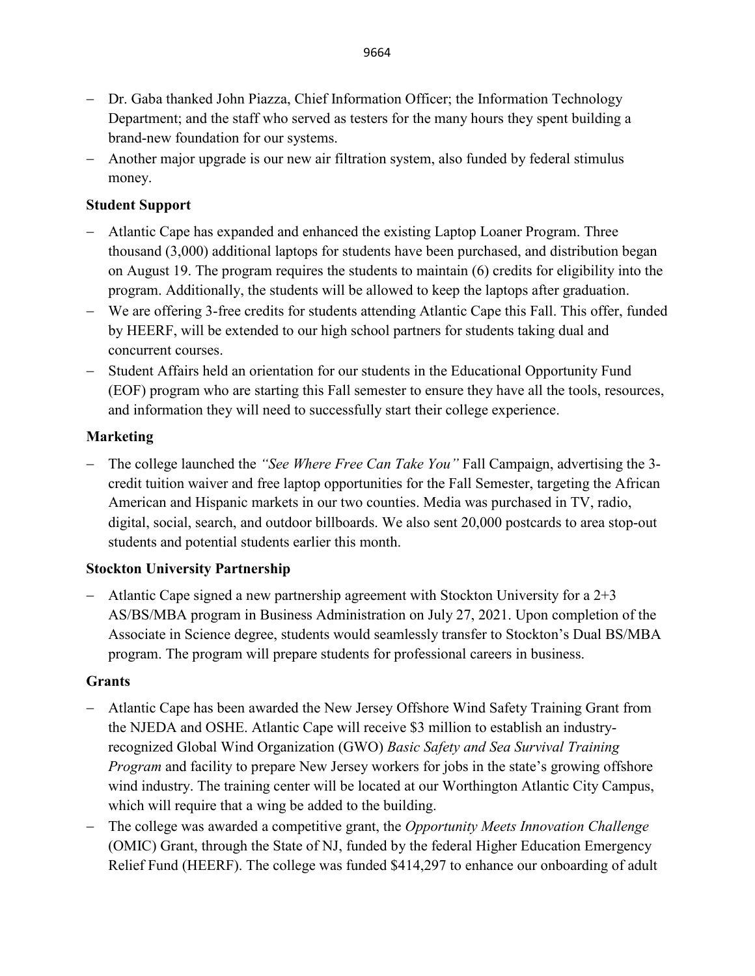- − Dr. Gaba thanked John Piazza, Chief Information Officer; the Information Technology Department; and the staff who served as testers for the many hours they spent building a brand-new foundation for our systems.
- − Another major upgrade is our new air filtration system, also funded by federal stimulus money.

#### **Student Support**

- − Atlantic Cape has expanded and enhanced the existing Laptop Loaner Program. Three thousand (3,000) additional laptops for students have been purchased, and distribution began on August 19. The program requires the students to maintain (6) credits for eligibility into the program. Additionally, the students will be allowed to keep the laptops after graduation.
- − We are offering 3-free credits for students attending Atlantic Cape this Fall. This offer, funded by HEERF, will be extended to our high school partners for students taking dual and concurrent courses.
- − Student Affairs held an orientation for our students in the Educational Opportunity Fund (EOF) program who are starting this Fall semester to ensure they have all the tools, resources, and information they will need to successfully start their college experience.

### **Marketing**

− The college launched the *"See Where Free Can Take You"* Fall Campaign, advertising the 3 credit tuition waiver and free laptop opportunities for the Fall Semester, targeting the African American and Hispanic markets in our two counties. Media was purchased in TV, radio, digital, social, search, and outdoor billboards. We also sent 20,000 postcards to area stop-out students and potential students earlier this month.

#### **Stockton University Partnership**

− Atlantic Cape signed a new partnership agreement with Stockton University for a 2+3 AS/BS/MBA program in Business Administration on July 27, 2021. Upon completion of the Associate in Science degree, students would seamlessly transfer to Stockton's Dual BS/MBA program. The program will prepare students for professional careers in business.

#### **Grants**

- − Atlantic Cape has been awarded the New Jersey Offshore Wind Safety Training Grant from the NJEDA and OSHE. Atlantic Cape will receive \$3 million to establish an industryrecognized Global Wind Organization (GWO) *Basic Safety and Sea Survival Training Program* and facility to prepare New Jersey workers for jobs in the state's growing offshore wind industry. The training center will be located at our Worthington Atlantic City Campus, which will require that a wing be added to the building.
- − The college was awarded a competitive grant, the *Opportunity Meets Innovation Challenge* (OMIC) Grant, through the State of NJ, funded by the federal Higher Education Emergency Relief Fund (HEERF). The college was funded \$414,297 to enhance our onboarding of adult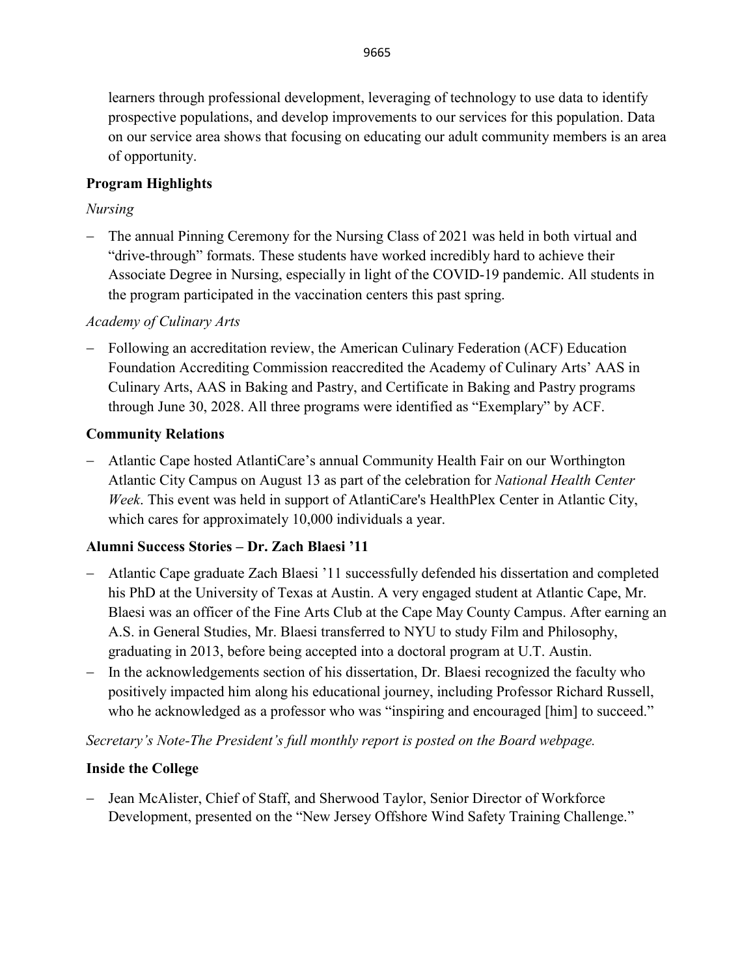learners through professional development, leveraging of technology to use data to identify prospective populations, and develop improvements to our services for this population. Data on our service area shows that focusing on educating our adult community members is an area of opportunity.

# **Program Highlights**

# *Nursing*

− The annual Pinning Ceremony for the Nursing Class of 2021 was held in both virtual and "drive-through" formats. These students have worked incredibly hard to achieve their Associate Degree in Nursing, especially in light of the COVID-19 pandemic. All students in the program participated in the vaccination centers this past spring.

# *Academy of Culinary Arts*

− Following an accreditation review, the American Culinary Federation (ACF) Education Foundation Accrediting Commission reaccredited the Academy of Culinary Arts' AAS in Culinary Arts, AAS in Baking and Pastry, and Certificate in Baking and Pastry programs through June 30, 2028. All three programs were identified as "Exemplary" by ACF.

# **Community Relations**

− Atlantic Cape hosted AtlantiCare's annual Community Health Fair on our Worthington Atlantic City Campus on August 13 as part of the celebration for *National Health Center Week*. This event was held in support of AtlantiCare's HealthPlex Center in Atlantic City, which cares for approximately 10,000 individuals a year.

# **Alumni Success Stories – Dr. Zach Blaesi '11**

- − Atlantic Cape graduate Zach Blaesi '11 successfully defended his dissertation and completed his PhD at the University of Texas at Austin. A very engaged student at Atlantic Cape, Mr. Blaesi was an officer of the Fine Arts Club at the Cape May County Campus. After earning an A.S. in General Studies, Mr. Blaesi transferred to NYU to study Film and Philosophy, graduating in 2013, before being accepted into a doctoral program at U.T. Austin.
- − In the acknowledgements section of his dissertation, Dr. Blaesi recognized the faculty who positively impacted him along his educational journey, including Professor Richard Russell, who he acknowledged as a professor who was "inspiring and encouraged [him] to succeed."

*Secretary's Note-The President's full monthly report is posted on the Board webpage.* 

# **Inside the College**

− Jean McAlister, Chief of Staff, and Sherwood Taylor, Senior Director of Workforce Development, presented on the "New Jersey Offshore Wind Safety Training Challenge."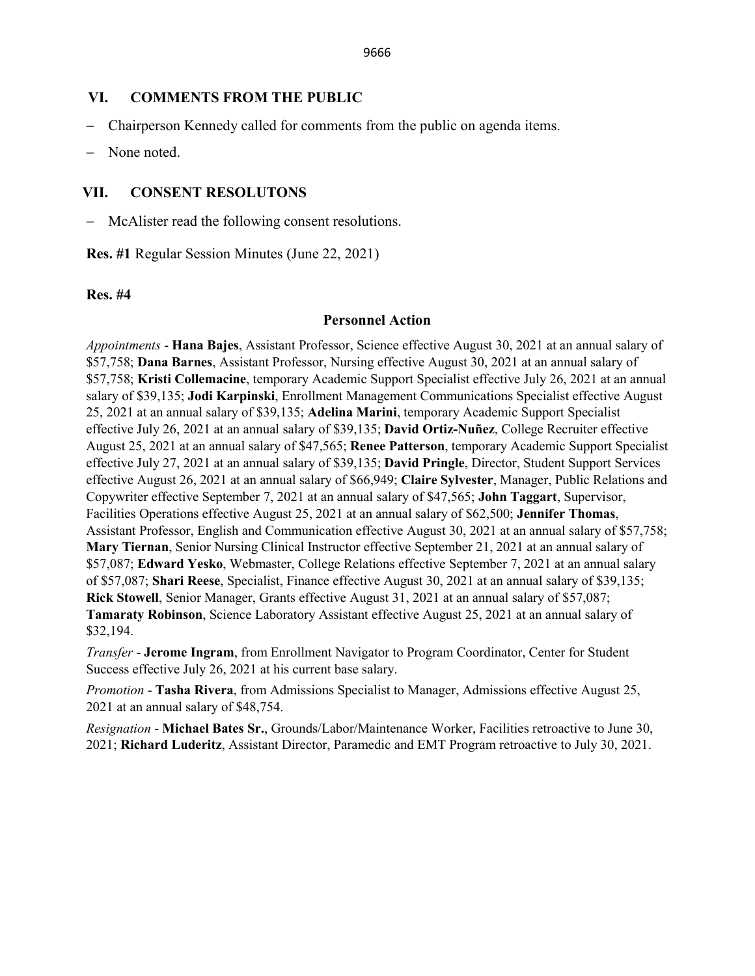#### **VI. COMMENTS FROM THE PUBLIC**

- − Chairperson Kennedy called for comments from the public on agenda items.
- None noted.

#### **VII. CONSENT RESOLUTONS**

McAlister read the following consent resolutions.

**Res. #1** Regular Session Minutes (June 22, 2021)

#### **Res. #4**

#### **Personnel Action**

*Appointments* - **Hana Bajes**, Assistant Professor, Science effective August 30, 2021 at an annual salary of \$57,758; **Dana Barnes**, Assistant Professor, Nursing effective August 30, 2021 at an annual salary of \$57,758; **Kristi Collemacine**, temporary Academic Support Specialist effective July 26, 2021 at an annual salary of \$39,135; **Jodi Karpinski**, Enrollment Management Communications Specialist effective August 25, 2021 at an annual salary of \$39,135; **Adelina Marini**, temporary Academic Support Specialist effective July 26, 2021 at an annual salary of \$39,135; **David Ortiz-Nuñez**, College Recruiter effective August 25, 2021 at an annual salary of \$47,565; **Renee Patterson**, temporary Academic Support Specialist effective July 27, 2021 at an annual salary of \$39,135; **David Pringle**, Director, Student Support Services effective August 26, 2021 at an annual salary of \$66,949; **Claire Sylvester**, Manager, Public Relations and Copywriter effective September 7, 2021 at an annual salary of \$47,565; **John Taggart**, Supervisor, Facilities Operations effective August 25, 2021 at an annual salary of \$62,500; **Jennifer Thomas**, Assistant Professor, English and Communication effective August 30, 2021 at an annual salary of \$57,758; **Mary Tiernan**, Senior Nursing Clinical Instructor effective September 21, 2021 at an annual salary of \$57,087; **Edward Yesko**, Webmaster, College Relations effective September 7, 2021 at an annual salary of \$57,087; **Shari Reese**, Specialist, Finance effective August 30, 2021 at an annual salary of \$39,135; **Rick Stowell**, Senior Manager, Grants effective August 31, 2021 at an annual salary of \$57,087; **Tamaraty Robinson**, Science Laboratory Assistant effective August 25, 2021 at an annual salary of \$32,194.

*Transfer* - **Jerome Ingram**, from Enrollment Navigator to Program Coordinator, Center for Student Success effective July 26, 2021 at his current base salary.

*Promotion* - **Tasha Rivera**, from Admissions Specialist to Manager, Admissions effective August 25, 2021 at an annual salary of \$48,754.

*Resignation* - **Michael Bates Sr.**, Grounds/Labor/Maintenance Worker, Facilities retroactive to June 30, 2021; **Richard Luderitz**, Assistant Director, Paramedic and EMT Program retroactive to July 30, 2021.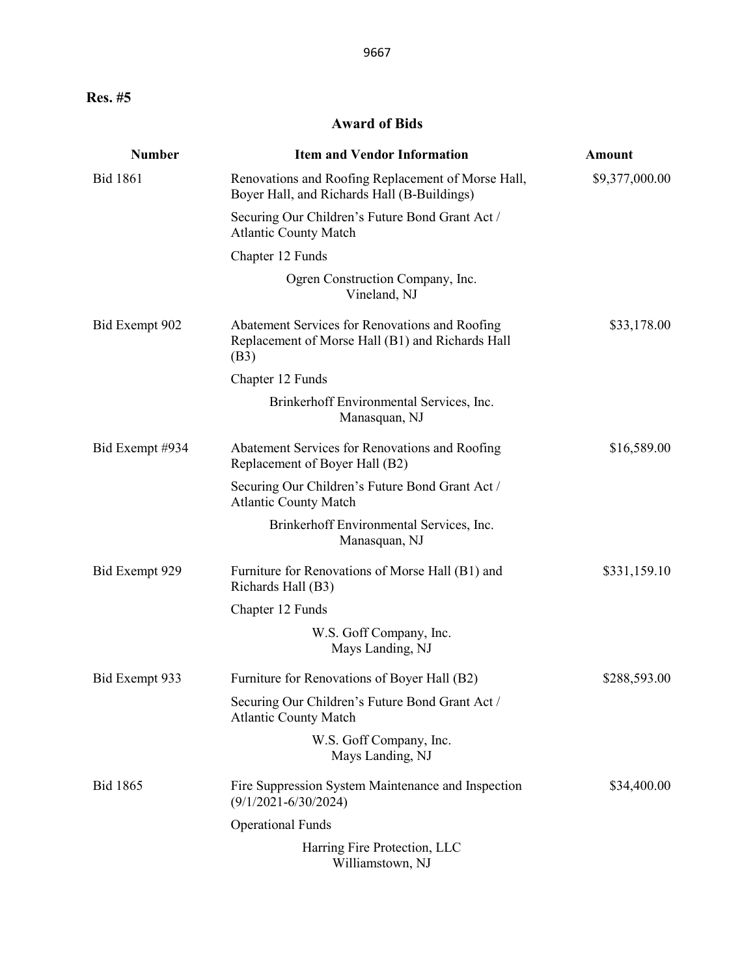# **Award of Bids**

| <b>Number</b>   | <b>Item and Vendor Information</b>                                                                         | <b>Amount</b>  |
|-----------------|------------------------------------------------------------------------------------------------------------|----------------|
| <b>Bid 1861</b> | Renovations and Roofing Replacement of Morse Hall,<br>Boyer Hall, and Richards Hall (B-Buildings)          | \$9,377,000.00 |
|                 | Securing Our Children's Future Bond Grant Act /<br><b>Atlantic County Match</b>                            |                |
|                 | Chapter 12 Funds                                                                                           |                |
|                 | Ogren Construction Company, Inc.<br>Vineland, NJ                                                           |                |
| Bid Exempt 902  | Abatement Services for Renovations and Roofing<br>Replacement of Morse Hall (B1) and Richards Hall<br>(B3) | \$33,178.00    |
|                 | Chapter 12 Funds                                                                                           |                |
|                 | Brinkerhoff Environmental Services, Inc.<br>Manasquan, NJ                                                  |                |
| Bid Exempt #934 | Abatement Services for Renovations and Roofing<br>Replacement of Boyer Hall (B2)                           | \$16,589.00    |
|                 | Securing Our Children's Future Bond Grant Act /<br><b>Atlantic County Match</b>                            |                |
|                 | Brinkerhoff Environmental Services, Inc.<br>Manasquan, NJ                                                  |                |
| Bid Exempt 929  | Furniture for Renovations of Morse Hall (B1) and<br>Richards Hall (B3)                                     | \$331,159.10   |
|                 | Chapter 12 Funds                                                                                           |                |
|                 | W.S. Goff Company, Inc.<br>Mays Landing, NJ                                                                |                |
| Bid Exempt 933  | Furniture for Renovations of Boyer Hall (B2)                                                               | \$288,593.00   |
|                 | Securing Our Children's Future Bond Grant Act /<br><b>Atlantic County Match</b>                            |                |
|                 | W.S. Goff Company, Inc.<br>Mays Landing, NJ                                                                |                |
| <b>Bid 1865</b> | Fire Suppression System Maintenance and Inspection<br>$(9/1/2021 - 6/30/2024)$                             | \$34,400.00    |
|                 | <b>Operational Funds</b>                                                                                   |                |
|                 | Harring Fire Protection, LLC<br>Williamstown, NJ                                                           |                |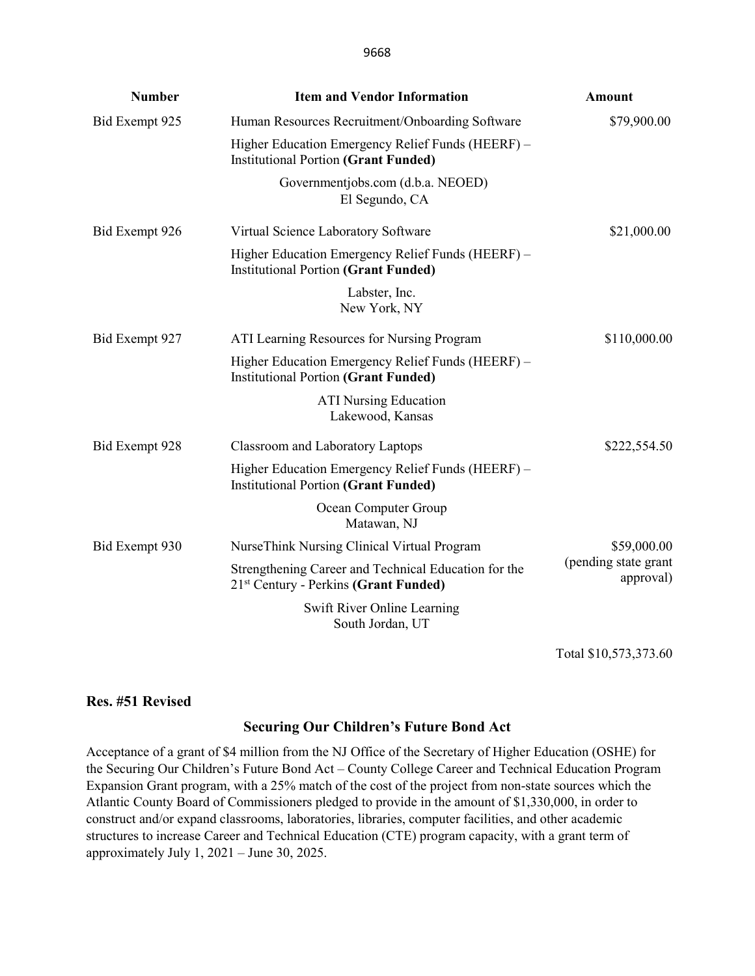| <b>Number</b>  | <b>Item and Vendor Information</b>                                                               | <b>Amount</b>                     |
|----------------|--------------------------------------------------------------------------------------------------|-----------------------------------|
| Bid Exempt 925 | Human Resources Recruitment/Onboarding Software                                                  | \$79,900.00                       |
|                | Higher Education Emergency Relief Funds (HEERF) -<br><b>Institutional Portion (Grant Funded)</b> |                                   |
|                | Governmentjobs.com (d.b.a. NEOED)<br>El Segundo, CA                                              |                                   |
| Bid Exempt 926 | Virtual Science Laboratory Software                                                              | \$21,000.00                       |
|                | Higher Education Emergency Relief Funds (HEERF) -<br><b>Institutional Portion (Grant Funded)</b> |                                   |
|                | Labster, Inc.<br>New York, NY                                                                    |                                   |
| Bid Exempt 927 | ATI Learning Resources for Nursing Program                                                       | \$110,000.00                      |
|                | Higher Education Emergency Relief Funds (HEERF) -<br><b>Institutional Portion (Grant Funded)</b> |                                   |
|                | <b>ATI Nursing Education</b><br>Lakewood, Kansas                                                 |                                   |
| Bid Exempt 928 | <b>Classroom and Laboratory Laptops</b>                                                          | \$222,554.50                      |
|                | Higher Education Emergency Relief Funds (HEERF) -<br><b>Institutional Portion (Grant Funded)</b> |                                   |
|                | Ocean Computer Group<br>Matawan, NJ                                                              |                                   |
| Bid Exempt 930 | NurseThink Nursing Clinical Virtual Program                                                      | \$59,000.00                       |
|                | Strengthening Career and Technical Education for the<br>$21st$ Century - Perkins (Grant Funded)  | (pending state grant<br>approval) |
|                | Swift River Online Learning<br>South Jordan, UT                                                  |                                   |

Total \$10,573,373.60

#### **Res. #51 Revised**

#### **Securing Our Children's Future Bond Act**

Acceptance of a grant of \$4 million from the NJ Office of the Secretary of Higher Education (OSHE) for the Securing Our Children's Future Bond Act – County College Career and Technical Education Program Expansion Grant program, with a 25% match of the cost of the project from non-state sources which the Atlantic County Board of Commissioners pledged to provide in the amount of \$1,330,000, in order to construct and/or expand classrooms, laboratories, libraries, computer facilities, and other academic structures to increase Career and Technical Education (CTE) program capacity, with a grant term of approximately July 1, 2021 – June 30, 2025.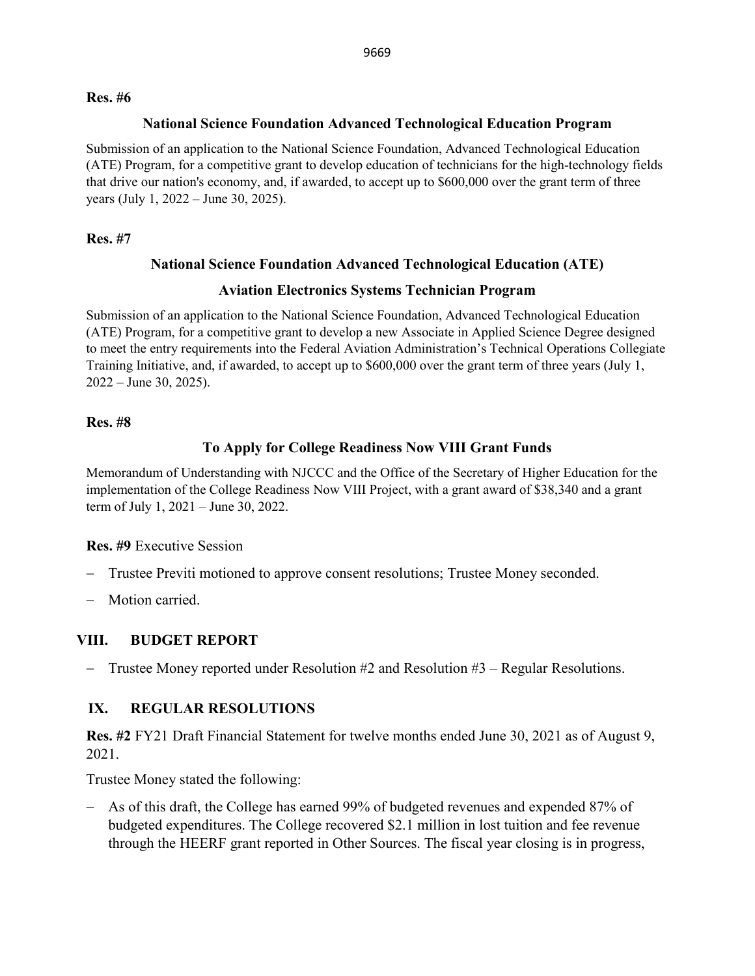#### **Res. #6**

#### **National Science Foundation Advanced Technological Education Program**

Submission of an application to the National Science Foundation, Advanced Technological Education (ATE) Program, for a competitive grant to develop education of technicians for the high-technology fields that drive our nation's economy, and, if awarded, to accept up to \$600,000 over the grant term of three years (July 1, 2022 – June 30, 2025).

#### **Res. #7**

### **National Science Foundation Advanced Technological Education (ATE)**

### **Aviation Electronics Systems Technician Program**

Submission of an application to the National Science Foundation, Advanced Technological Education (ATE) Program, for a competitive grant to develop a new Associate in Applied Science Degree designed to meet the entry requirements into the Federal Aviation Administration's Technical Operations Collegiate Training Initiative, and, if awarded, to accept up to \$600,000 over the grant term of three years (July 1, 2022 – June 30, 2025).

#### **Res. #8**

# **To Apply for College Readiness Now VIII Grant Funds**

Memorandum of Understanding with NJCCC and the Office of the Secretary of Higher Education for the implementation of the College Readiness Now VIII Project, with a grant award of \$38,340 and a grant term of July 1, 2021 – June 30, 2022.

#### **Res. #9** Executive Session

- − Trustee Previti motioned to approve consent resolutions; Trustee Money seconded.
- − Motion carried.

# **VIII. BUDGET REPORT**

− Trustee Money reported under Resolution #2 and Resolution #3 – Regular Resolutions.

# **IX. REGULAR RESOLUTIONS**

**Res. #2** FY21 Draft Financial Statement for twelve months ended June 30, 2021 as of August 9, 2021.

Trustee Money stated the following:

− As of this draft, the College has earned 99% of budgeted revenues and expended 87% of budgeted expenditures. The College recovered \$2.1 million in lost tuition and fee revenue through the HEERF grant reported in Other Sources. The fiscal year closing is in progress,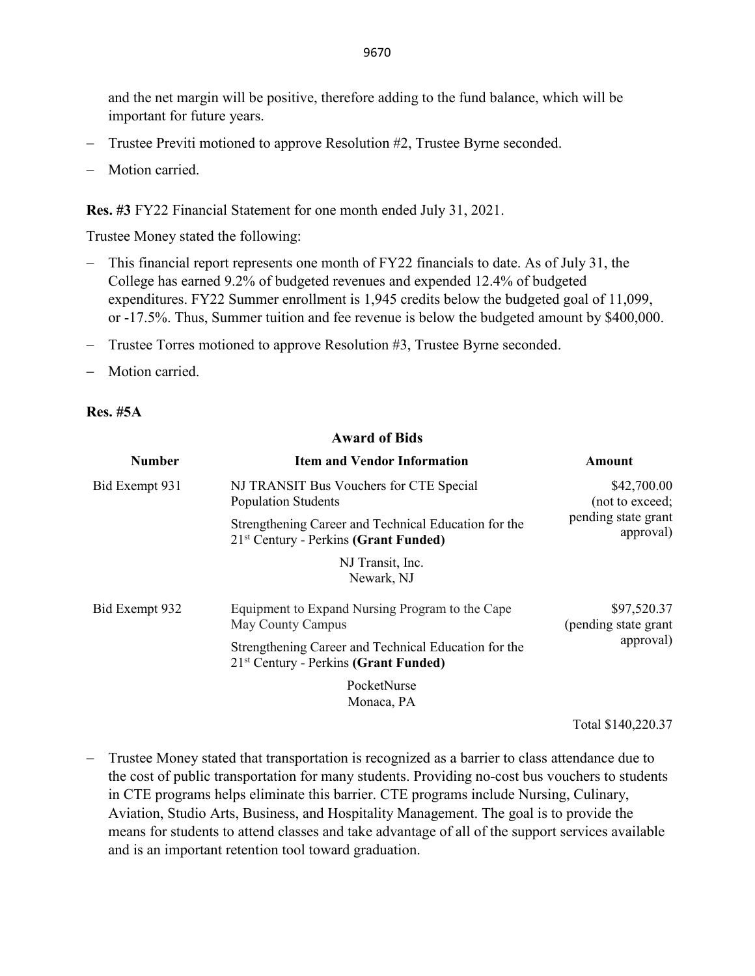and the net margin will be positive, therefore adding to the fund balance, which will be important for future years.

- − Trustee Previti motioned to approve Resolution #2, Trustee Byrne seconded.
- Motion carried.

**Res. #3** FY22 Financial Statement for one month ended July 31, 2021.

Trustee Money stated the following:

- − This financial report represents one month of FY22 financials to date. As of July 31, the College has earned 9.2% of budgeted revenues and expended 12.4% of budgeted expenditures. FY22 Summer enrollment is 1,945 credits below the budgeted goal of 11,099, or -17.5%. Thus, Summer tuition and fee revenue is below the budgeted amount by \$400,000.
- − Trustee Torres motioned to approve Resolution #3, Trustee Byrne seconded.
- − Motion carried.

#### **Res. #5A**

#### **Award of Bids**

| <b>Number</b>  | <b>Item and Vendor Information</b>                                                                        | <b>Amount</b>                                                      |
|----------------|-----------------------------------------------------------------------------------------------------------|--------------------------------------------------------------------|
| Bid Exempt 931 | NJ TRANSIT Bus Vouchers for CTE Special<br><b>Population Students</b>                                     | \$42,700.00<br>(not to exceed;<br>pending state grant<br>approval) |
|                | Strengthening Career and Technical Education for the<br>$21st$ Century - Perkins (Grant Funded)           |                                                                    |
|                | NJ Transit, Inc.<br>Newark, NJ                                                                            |                                                                    |
| Bid Exempt 932 | Equipment to Expand Nursing Program to the Cape<br>May County Campus                                      | \$97,520.37<br>(pending state grant<br>approval)                   |
|                | Strengthening Career and Technical Education for the<br>21 <sup>st</sup> Century - Perkins (Grant Funded) |                                                                    |
|                | PocketNurse                                                                                               |                                                                    |
|                | Monaca, PA                                                                                                |                                                                    |

Total \$140,220.37

− Trustee Money stated that transportation is recognized as a barrier to class attendance due to the cost of public transportation for many students. Providing no-cost bus vouchers to students in CTE programs helps eliminate this barrier. CTE programs include Nursing, Culinary, Aviation, Studio Arts, Business, and Hospitality Management. The goal is to provide the means for students to attend classes and take advantage of all of the support services available and is an important retention tool toward graduation.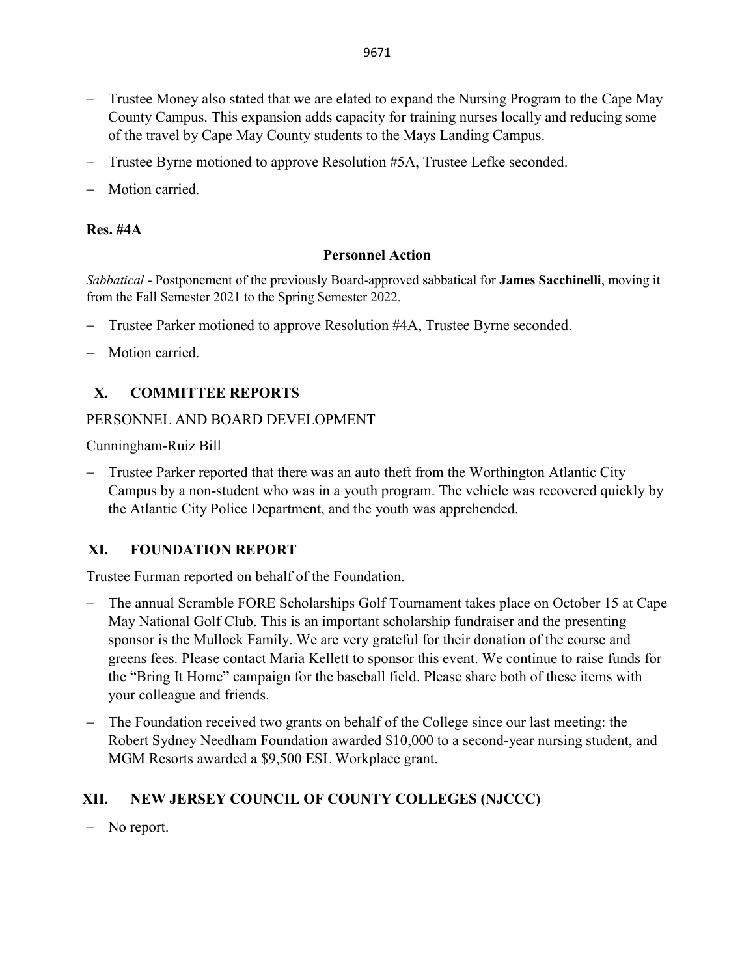- − Trustee Money also stated that we are elated to expand the Nursing Program to the Cape May County Campus. This expansion adds capacity for training nurses locally and reducing some of the travel by Cape May County students to the Mays Landing Campus.
- − Trustee Byrne motioned to approve Resolution #5A, Trustee Lefke seconded.
- Motion carried.

### **Res. #4A**

### **Personnel Action**

*Sabbatical* - Postponement of the previously Board-approved sabbatical for **James Sacchinelli**, moving it from the Fall Semester 2021 to the Spring Semester 2022.

- − Trustee Parker motioned to approve Resolution #4A, Trustee Byrne seconded.
- Motion carried.

# **X. COMMITTEE REPORTS**

### PERSONNEL AND BOARD DEVELOPMENT

Cunningham-Ruiz Bill

− Trustee Parker reported that there was an auto theft from the Worthington Atlantic City Campus by a non-student who was in a youth program. The vehicle was recovered quickly by the Atlantic City Police Department, and the youth was apprehended.

# **XI. FOUNDATION REPORT**

Trustee Furman reported on behalf of the Foundation.

- − The annual Scramble FORE Scholarships Golf Tournament takes place on October 15 at Cape May National Golf Club. This is an important scholarship fundraiser and the presenting sponsor is the Mullock Family. We are very grateful for their donation of the course and greens fees. Please contact Maria Kellett to sponsor this event. We continue to raise funds for the "Bring It Home" campaign for the baseball field. Please share both of these items with your colleague and friends.
- − The Foundation received two grants on behalf of the College since our last meeting: the Robert Sydney Needham Foundation awarded \$10,000 to a second-year nursing student, and MGM Resorts awarded a \$9,500 ESL Workplace grant.

# **XII. NEW JERSEY COUNCIL OF COUNTY COLLEGES (NJCCC)**

− No report.